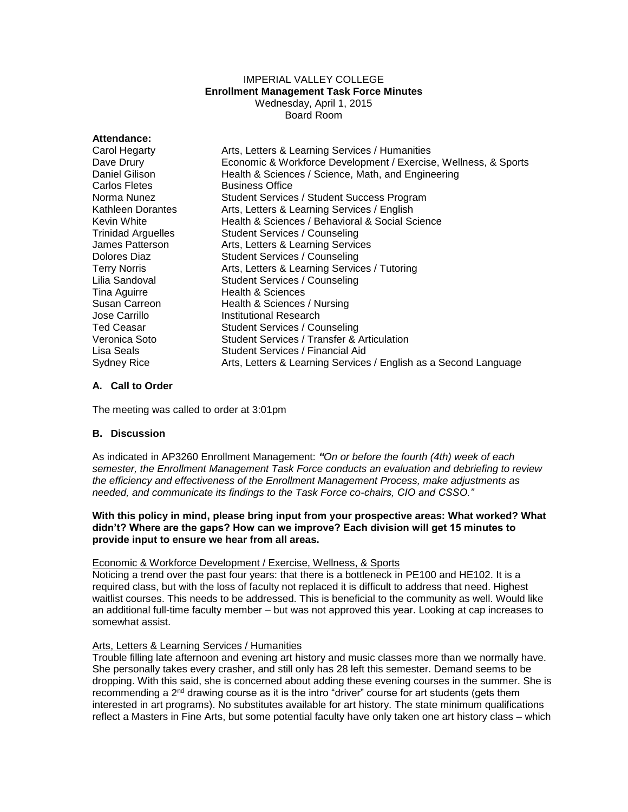# IMPERIAL VALLEY COLLEGE **Enrollment Management Task Force Minutes** Wednesday, April 1, 2015 Board Room

| Attendance:               |                                                                  |
|---------------------------|------------------------------------------------------------------|
| Carol Hegarty             | Arts, Letters & Learning Services / Humanities                   |
| Dave Drury                | Economic & Workforce Development / Exercise, Wellness, & Sports  |
| Daniel Gilison            | Health & Sciences / Science, Math, and Engineering               |
| Carlos Fletes             | <b>Business Office</b>                                           |
| Norma Nunez               | Student Services / Student Success Program                       |
| Kathleen Dorantes         | Arts, Letters & Learning Services / English                      |
| Kevin White               | Health & Sciences / Behavioral & Social Science                  |
| <b>Trinidad Arguelles</b> | Student Services / Counseling                                    |
| James Patterson           | Arts, Letters & Learning Services                                |
| Dolores Diaz              | <b>Student Services / Counseling</b>                             |
| <b>Terry Norris</b>       | Arts, Letters & Learning Services / Tutoring                     |
| Lilia Sandoval            | <b>Student Services / Counseling</b>                             |
| Tina Aguirre              | Health & Sciences                                                |
| Susan Carreon             | Health & Sciences / Nursing                                      |
| Jose Carrillo             | Institutional Research                                           |
| <b>Ted Ceasar</b>         | <b>Student Services / Counseling</b>                             |
| Veronica Soto             | Student Services / Transfer & Articulation                       |
| Lisa Seals                | Student Services / Financial Aid                                 |
| Sydney Rice               | Arts, Letters & Learning Services / English as a Second Language |

# **A. Call to Order**

The meeting was called to order at 3:01pm

# **B. Discussion**

As indicated in AP3260 Enrollment Management: *"On or before the fourth (4th) week of each semester, the Enrollment Management Task Force conducts an evaluation and debriefing to review the efficiency and effectiveness of the Enrollment Management Process, make adjustments as needed, and communicate its findings to the Task Force co-chairs, CIO and CSSO."*

#### **With this policy in mind, please bring input from your prospective areas: What worked? What didn't? Where are the gaps? How can we improve? Each division will get 15 minutes to provide input to ensure we hear from all areas.**

## Economic & Workforce Development / Exercise, Wellness, & Sports

Noticing a trend over the past four years: that there is a bottleneck in PE100 and HE102. It is a required class, but with the loss of faculty not replaced it is difficult to address that need. Highest waitlist courses. This needs to be addressed. This is beneficial to the community as well. Would like an additional full-time faculty member – but was not approved this year. Looking at cap increases to somewhat assist.

# Arts, Letters & Learning Services / Humanities

Trouble filling late afternoon and evening art history and music classes more than we normally have. She personally takes every crasher, and still only has 28 left this semester. Demand seems to be dropping. With this said, she is concerned about adding these evening courses in the summer. She is recommending a 2<sup>nd</sup> drawing course as it is the intro "driver" course for art students (gets them interested in art programs). No substitutes available for art history. The state minimum qualifications reflect a Masters in Fine Arts, but some potential faculty have only taken one art history class – which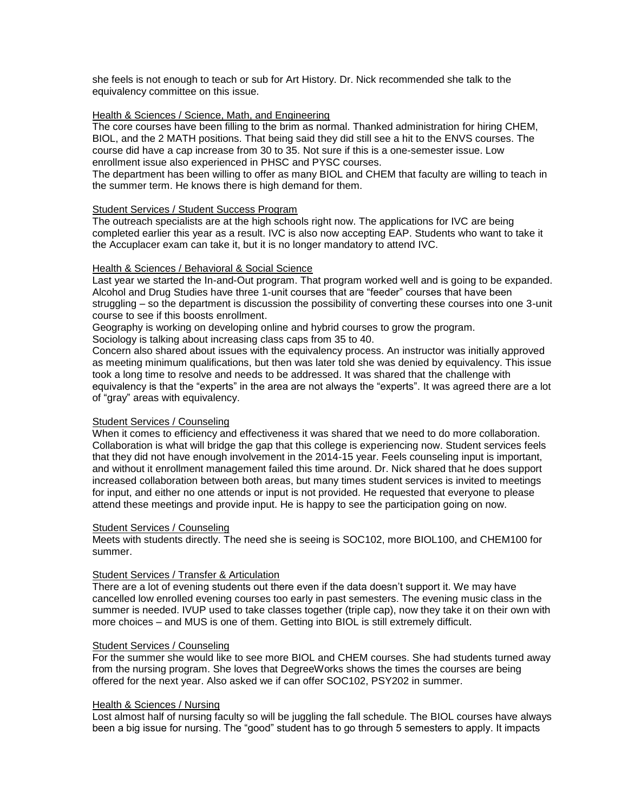she feels is not enough to teach or sub for Art History. Dr. Nick recommended she talk to the equivalency committee on this issue.

## Health & Sciences / Science, Math, and Engineering

The core courses have been filling to the brim as normal. Thanked administration for hiring CHEM, BIOL, and the 2 MATH positions. That being said they did still see a hit to the ENVS courses. The course did have a cap increase from 30 to 35. Not sure if this is a one-semester issue. Low enrollment issue also experienced in PHSC and PYSC courses.

The department has been willing to offer as many BIOL and CHEM that faculty are willing to teach in the summer term. He knows there is high demand for them.

#### Student Services / Student Success Program

The outreach specialists are at the high schools right now. The applications for IVC are being completed earlier this year as a result. IVC is also now accepting EAP. Students who want to take it the Accuplacer exam can take it, but it is no longer mandatory to attend IVC.

#### Health & Sciences / Behavioral & Social Science

Last year we started the In-and-Out program. That program worked well and is going to be expanded. Alcohol and Drug Studies have three 1-unit courses that are "feeder" courses that have been struggling – so the department is discussion the possibility of converting these courses into one 3-unit course to see if this boosts enrollment.

Geography is working on developing online and hybrid courses to grow the program.

Sociology is talking about increasing class caps from 35 to 40.

Concern also shared about issues with the equivalency process. An instructor was initially approved as meeting minimum qualifications, but then was later told she was denied by equivalency. This issue took a long time to resolve and needs to be addressed. It was shared that the challenge with equivalency is that the "experts" in the area are not always the "experts". It was agreed there are a lot of "gray" areas with equivalency.

## Student Services / Counseling

When it comes to efficiency and effectiveness it was shared that we need to do more collaboration. Collaboration is what will bridge the gap that this college is experiencing now. Student services feels that they did not have enough involvement in the 2014-15 year. Feels counseling input is important, and without it enrollment management failed this time around. Dr. Nick shared that he does support increased collaboration between both areas, but many times student services is invited to meetings for input, and either no one attends or input is not provided. He requested that everyone to please attend these meetings and provide input. He is happy to see the participation going on now.

#### Student Services / Counseling

Meets with students directly. The need she is seeing is SOC102, more BIOL100, and CHEM100 for summer.

## Student Services / Transfer & Articulation

There are a lot of evening students out there even if the data doesn't support it. We may have cancelled low enrolled evening courses too early in past semesters. The evening music class in the summer is needed. IVUP used to take classes together (triple cap), now they take it on their own with more choices – and MUS is one of them. Getting into BIOL is still extremely difficult.

## Student Services / Counseling

For the summer she would like to see more BIOL and CHEM courses. She had students turned away from the nursing program. She loves that DegreeWorks shows the times the courses are being offered for the next year. Also asked we if can offer SOC102, PSY202 in summer.

## Health & Sciences / Nursing

Lost almost half of nursing faculty so will be juggling the fall schedule. The BIOL courses have always been a big issue for nursing. The "good" student has to go through 5 semesters to apply. It impacts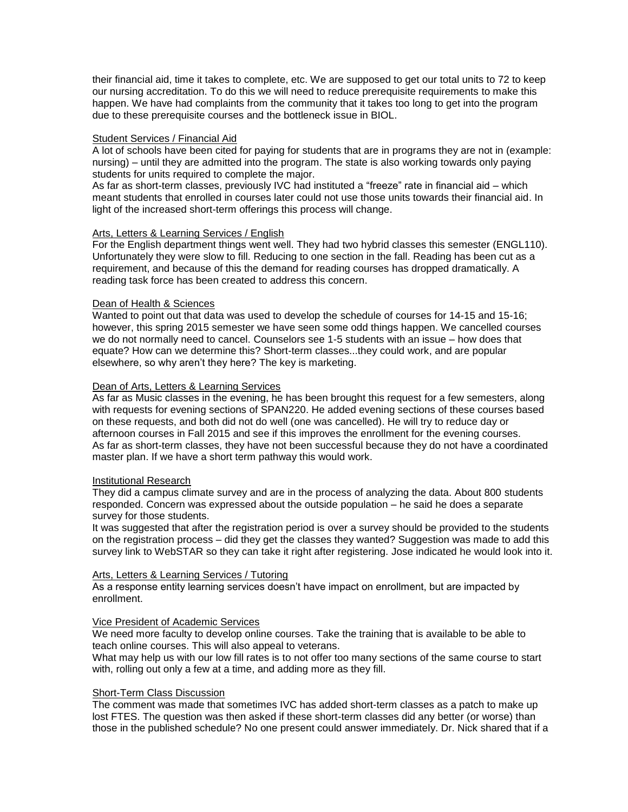their financial aid, time it takes to complete, etc. We are supposed to get our total units to 72 to keep our nursing accreditation. To do this we will need to reduce prerequisite requirements to make this happen. We have had complaints from the community that it takes too long to get into the program due to these prerequisite courses and the bottleneck issue in BIOL.

#### Student Services / Financial Aid

A lot of schools have been cited for paying for students that are in programs they are not in (example: nursing) – until they are admitted into the program. The state is also working towards only paying students for units required to complete the major.

As far as short-term classes, previously IVC had instituted a "freeze" rate in financial aid – which meant students that enrolled in courses later could not use those units towards their financial aid. In light of the increased short-term offerings this process will change.

# Arts, Letters & Learning Services / English

For the English department things went well. They had two hybrid classes this semester (ENGL110). Unfortunately they were slow to fill. Reducing to one section in the fall. Reading has been cut as a requirement, and because of this the demand for reading courses has dropped dramatically. A reading task force has been created to address this concern.

#### Dean of Health & Sciences

Wanted to point out that data was used to develop the schedule of courses for 14-15 and 15-16; however, this spring 2015 semester we have seen some odd things happen. We cancelled courses we do not normally need to cancel. Counselors see 1-5 students with an issue – how does that equate? How can we determine this? Short-term classes...they could work, and are popular elsewhere, so why aren't they here? The key is marketing.

#### Dean of Arts, Letters & Learning Services

As far as Music classes in the evening, he has been brought this request for a few semesters, along with requests for evening sections of SPAN220. He added evening sections of these courses based on these requests, and both did not do well (one was cancelled). He will try to reduce day or afternoon courses in Fall 2015 and see if this improves the enrollment for the evening courses. As far as short-term classes, they have not been successful because they do not have a coordinated master plan. If we have a short term pathway this would work.

#### Institutional Research

They did a campus climate survey and are in the process of analyzing the data. About 800 students responded. Concern was expressed about the outside population – he said he does a separate survey for those students.

It was suggested that after the registration period is over a survey should be provided to the students on the registration process – did they get the classes they wanted? Suggestion was made to add this survey link to WebSTAR so they can take it right after registering. Jose indicated he would look into it.

## Arts, Letters & Learning Services / Tutoring

As a response entity learning services doesn't have impact on enrollment, but are impacted by enrollment.

## Vice President of Academic Services

We need more faculty to develop online courses. Take the training that is available to be able to teach online courses. This will also appeal to veterans.

What may help us with our low fill rates is to not offer too many sections of the same course to start with, rolling out only a few at a time, and adding more as they fill.

#### Short-Term Class Discussion

The comment was made that sometimes IVC has added short-term classes as a patch to make up lost FTES. The question was then asked if these short-term classes did any better (or worse) than those in the published schedule? No one present could answer immediately. Dr. Nick shared that if a